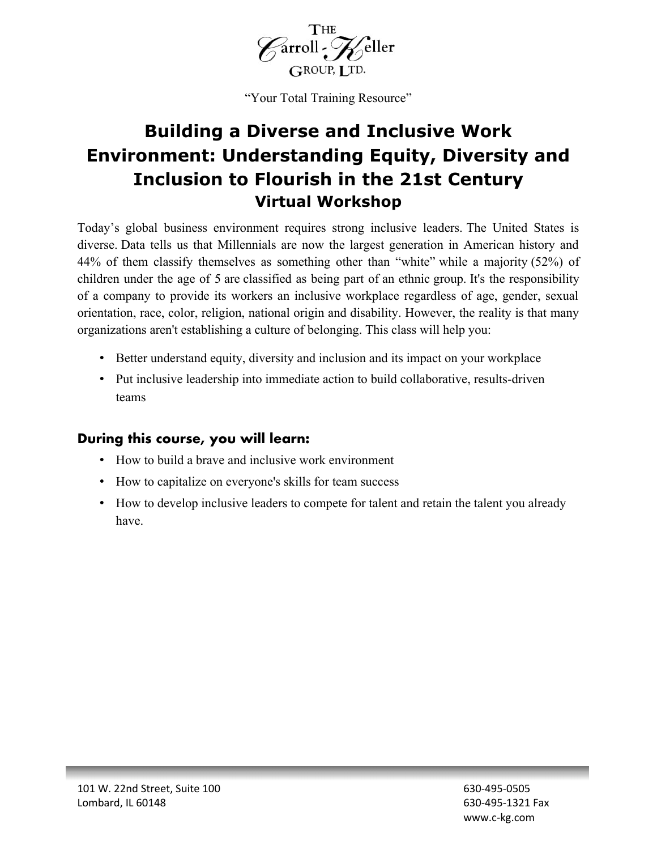

"Your Total Training Resource"

# **Building a Diverse and Inclusive Work Environment: Understanding Equity, Diversity and Inclusion to Flourish in the 21st Century Virtual Workshop**

Today's global business environment requires strong inclusive leaders. The United States is diverse. Data tells us that Millennials are now the largest generation in American history and 44% of them classify themselves as something other than "white" while a majority (52%) of children under the age of 5 are classified as being part of an ethnic group. It's the responsibility of a company to provide its workers an inclusive workplace regardless of age, gender, sexual orientation, race, color, religion, national origin and disability. However, the reality is that many organizations aren't establishing a culture of belonging. This class will help you:

- Better understand equity, diversity and inclusion and its impact on your workplace
- Put inclusive leadership into immediate action to build collaborative, results-driven teams

### **During this course, you will learn:**

- How to build a brave and inclusive work environment
- How to capitalize on everyone's skills for team success
- How to develop inclusive leaders to compete for talent and retain the talent you already have.